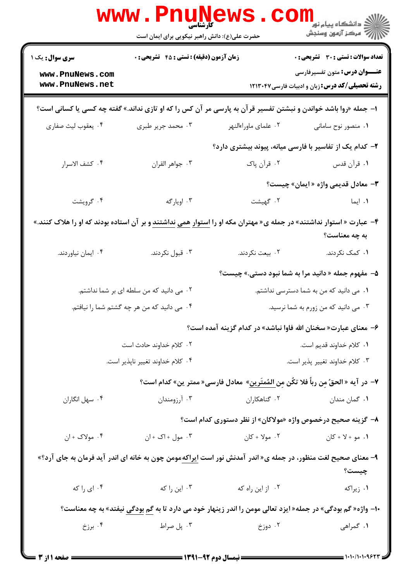|                                                                                                                            | <b>www.Pnur</b><br>کارشناسی<br>حضرت علی(ع): دانش راهبر نیکویی برای ایمان است |                                                                                                                      | ڪ دانشڪاه پيا <sub>م</sub> نور<br><mark>√</mark> مرڪز آزمون وسنڊش                              |  |  |
|----------------------------------------------------------------------------------------------------------------------------|------------------------------------------------------------------------------|----------------------------------------------------------------------------------------------------------------------|------------------------------------------------------------------------------------------------|--|--|
| <b>سری سوال:</b> یک ۱                                                                                                      | <b>زمان آزمون (دقیقه) : تستی : 45 گشریحی : 0</b>                             |                                                                                                                      | <b>تعداد سوالات : تستی : 30 ٪ تشریحی : 0</b>                                                   |  |  |
| www.PnuNews.com<br>www.PnuNews.net                                                                                         |                                                                              |                                                                                                                      | <b>عنـــوان درس:</b> متون تفسیرفارسی<br><b>رشته تحصیلی/کد درس:</b> زبان و ادبیات فارسی ۱۲۱۳۰۴۷ |  |  |
| ا– جمله «روا باشد خواندن و نبشتن تفسیر قرآن به پارسی مر آن کس را که او تازی نداند.» گفته چه کسی یا کسانی است؟              |                                                                              |                                                                                                                      |                                                                                                |  |  |
| ۰۴ يعقوب ليث صفاري                                                                                                         | ۰۳ محمد جریر طبری                                                            | ۰۲ علمای ماوراءالنهر                                                                                                 | ۰۱ منصور نوح سامانی                                                                            |  |  |
|                                                                                                                            |                                                                              | ۲– کدام یک از تفاسیر با فارسی میانه، پیوند بیشتری دارد؟                                                              |                                                                                                |  |  |
| ۰۴ كشف الاسرار                                                                                                             | ٠٣ جواهر القران                                                              | ۰۲ قرآن پاک                                                                                                          | ١. قرآن قدس                                                                                    |  |  |
|                                                                                                                            |                                                                              |                                                                                                                      | <b>۳</b> - معادل قدیمی واژه «ایمان» چیست؟                                                      |  |  |
| ۰۴ گرویشت                                                                                                                  | ۰۳ اويارگه                                                                   | ۰۲ گهيشت                                                                                                             | ۰۱ ایما                                                                                        |  |  |
| ۴– عبارت « استوار نداشتند» در جمله ی« مهتران مکه او را <u>استوار همی نداشتند</u> و بر آن استاده بودند که او را هلاک کنند.» |                                                                              |                                                                                                                      | به چه معناست؟                                                                                  |  |  |
| ۰۴ ایمان نیاوردند.                                                                                                         | ۰۳ قبول نکردند.                                                              | ۰۲ بیعت نکردند.                                                                                                      | ۰۱ کمک نکردند.                                                                                 |  |  |
|                                                                                                                            |                                                                              |                                                                                                                      | ۵- مفهوم جمله « دانید مرا به شما نبود دستی.» چیست؟                                             |  |  |
| ۰۲ می دانید که من سلطه ای بر شما نداشتم.                                                                                   |                                                                              | ۰۱ می دانید که من به شما دسترسی نداشتم.                                                                              |                                                                                                |  |  |
| ۰۳ می دانید که من زورم به شما نرسید.<br>۰۴ می دانید که من هر چه گشتم شما را نیافتم.                                        |                                                                              |                                                                                                                      |                                                                                                |  |  |
|                                                                                                                            |                                                                              | ۶- معنای عبارت« سخنان الله فاوا نباشد» در کدام گزینه آمده است؟                                                       |                                                                                                |  |  |
|                                                                                                                            | ۰۲ کلام خداوند حادث است                                                      | ٠١. كلام خداوند قديم است.                                                                                            |                                                                                                |  |  |
|                                                                                                                            | ۰۴ كلام خداوند تغيير ناپذير است.                                             | ٠٣ كلام خداوند تغيير پذير است.                                                                                       |                                                                                                |  |  |
|                                                                                                                            |                                                                              | ٧– در آيه « الحقُ مِن رباً فلا تكُن مِن <u>المُمتَرين</u> » معادل فارسى« ممتر ين» كدام است؟                          |                                                                                                |  |  |
| ۰۴ سهل انگاران                                                                                                             | ۰۳ آرزومندان                                                                 | ۰۲ گناهکاران                                                                                                         | ۰۱ گمان مندان                                                                                  |  |  |
|                                                                                                                            |                                                                              | ۸– گزینه صحیح درخصوص واژه «مولاکان» از نظر دستوری کدام است؟                                                          |                                                                                                |  |  |
| ۰۴ مولاک + ان                                                                                                              | ۰۳ مول + اک + ان                                                             | ۲. مولا + کان                                                                                                        | ۰۱ مو + لا + کان                                                                               |  |  |
|                                                                                                                            |                                                                              | ۹- معنای صحیح لغت منظور، در جمله ی« اندر آمدنش نور است <u>ایراکه</u> مومن چون به خانه ای اندر آید فرمان به جای آرد؟» | چیست؟                                                                                          |  |  |
| ۰۴ ای را که                                                                                                                | ۰۳ این را که                                                                 | ٠٢ از اين راه كه                                                                                                     | ۰۱ زیراکه                                                                                      |  |  |
| ∙ا– واژه« گم بودگی» در جمله« ایزد تعالی مومن را اندر زینهار خود می دارد تا به <u>گم بودگی</u> نیفتد» به چه معناست؟         |                                                                              |                                                                                                                      |                                                                                                |  |  |
| ۰۴ برزخ                                                                                                                    | ۰۳ پل صراط                                                                   | ۰۲ دوزخ                                                                                                              | ۱. گمراهی                                                                                      |  |  |
|                                                                                                                            |                                                                              |                                                                                                                      |                                                                                                |  |  |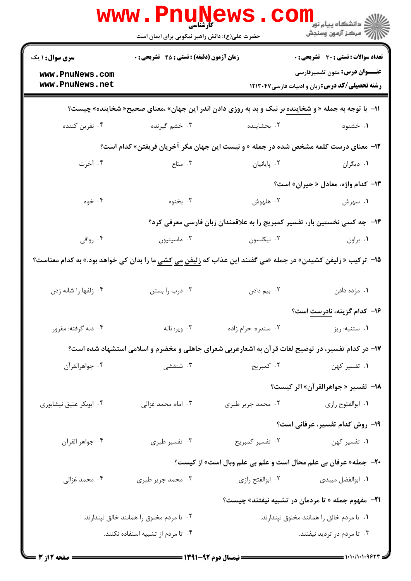|                                    | <b>www.PnuN</b><br>کارشناسی                      |                     | <sup>ان</sup> دانشڪاه پيام نور <sup>دا</sup><br>ا∛ مرڪز آزمون وسنڊش                                                  |
|------------------------------------|--------------------------------------------------|---------------------|----------------------------------------------------------------------------------------------------------------------|
|                                    | حضرت علی(ع): دانش راهبر نیکویی برای ایمان است    |                     |                                                                                                                      |
| <b>سری سوال : ۱ یک</b>             | <b>زمان آزمون (دقیقه) : تستی : 45 گشریحی : 0</b> |                     | تعداد سوالات : تستى : 30 قشريحى : 0                                                                                  |
| www.PnuNews.com<br>www.PnuNews.net |                                                  |                     | <b>عنـــوان درس:</b> متون تفسیرفارسی<br><b>رشته تحصیلی/کد درس:</b> زبان و ادبیات فارسی۱۲۱۳۰۴۷                        |
|                                    |                                                  |                     | 11- با توجه به جمله « و <u>شخاینده</u> بر نیک و بد به روزی دادن اندر این جهان» ،معنای صحیح« شخاینده» چیست؟           |
| ۰۴ نفرین کننده                     | ۰۳ خشم گیرنده $\cdot$                            | ۰۲ بخشاینده         | ۰۱ خشنود                                                                                                             |
|                                    |                                                  |                     | ۱۲- معنای درست کلمه مشخص شده در جمله « و نیست این جهان مگر آخریان فریفتن» کدام است؟                                  |
| ۰۴ آخرت                            | ۰۳ متاع                                          | ۰۲ پایانیان         | ۰۱ دیگران                                                                                                            |
|                                    |                                                  |                     | <b>۱۳</b> - کدام واژه، معادل « حیران» است؟                                                                           |
| ۰۴ خوه                             | ۰۳ بخنوه                                         | ۰۲ هلهوش            | ۰۱ سهرش                                                                                                              |
|                                    |                                                  |                     | ۱۴- چه کسی نخستین بار، تفسیر کمبریج را به علاقمندان زبان فارسی معرفی کرد؟                                            |
| ۰۴ رواقی                           | ۰۳ ماسينيون                                      | ۰۲ نیکلسون          | ٠١. براون                                                                                                            |
|                                    |                                                  |                     | ۱۵− ترکیب « زلیفن کشیدن» در جمله «می گفتند این عذاب که <u>زلیفن می کشی</u> ما را بدان کی خواهد بود.» به کدام معناست؟ |
| ۰۴ زلفها را شانه زدن               | ۰۳ درب را بستن                                   | ۰۲ بیم دادن         | ٠١ مژده دادن                                                                                                         |
|                                    |                                                  |                     | ۱۶– کدام گزینه، نادرست است؟                                                                                          |
| ۰۴ دنه گرفته: مغرور                | ۰۳ وير: ناله                                     | ۰۲ سندره: حرام زاده | ٠١ ستنبه: ريز                                                                                                        |
|                                    |                                                  |                     | ۱۷- در کدام تفسیر، در توضیح لغات قرآن به اشعارعربی شعرای جاهلی و مخضرم و اسلامی استشهاد شده است؟                     |
| ۰۴ جواهرالقرآن                     | ۰۳ شنقشی                                         | ۰۲ کمبریج           | ۰۱ تفسیر کهن                                                                                                         |
|                                    |                                                  |                     | 18- تفسير «جواهرالقرآن» اثر كيست؟                                                                                    |
| ۰۴ ابوبکر عتیق نیشابوری            | ۰۳ امام محمد غزالی                               | ۰۲ محمد جریر طبری   | ۰۱ ابوالفتوح رازی                                                                                                    |
|                                    |                                                  |                     | 19- روش کدام تفسیر، عرفانی است؟                                                                                      |
| ۰۴ جواهر القرآن                    | ۰۳ تفسیر طبری                                    | ۰۲ تفسیر کمبریج     | ۰۱ تفسیر کهن                                                                                                         |
|                                    |                                                  |                     | <b>-۲-</b> جمله« عرفان بي علم محال است و علم بي علم وبال است» از کيست؟                                               |
| ۰۴ محمد غزالی                      | ۰۳ محمد جریر طبری                                | ۰۲ ابوالفتح رازی    | ٠١ ابوالفضل ميبدى                                                                                                    |
|                                    |                                                  |                     | <b>٢١-</b> مفهوم جمله « تا مردمان در تشبيه نيفتند» چيست؟                                                             |
|                                    | ۰۲ تا مردم مخلوق را همانند خالق نپندارند.        |                     | ۰۱ تا مردم خالق را همانند مخلوق نپندارند.                                                                            |
|                                    | ۰۴ تا مردم از تشبیه استفاده نکنند.               |                     | ۰۳ تا مردم در تردید نیفتند.                                                                                          |
|                                    |                                                  |                     |                                                                                                                      |